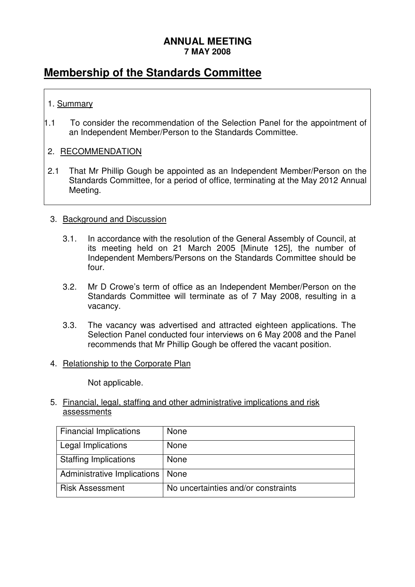#### **ANNUAL MEETING 7 MAY 2008**

# **Membership of the Standards Committee**

### 1. Summary

1.1 To consider the recommendation of the Selection Panel for the appointment of an Independent Member/Person to the Standards Committee.

#### 2. RECOMMENDATION

2.1 That Mr Phillip Gough be appointed as an Independent Member/Person on the Standards Committee, for a period of office, terminating at the May 2012 Annual Meeting.

#### 3. Background and Discussion

- 3.1. In accordance with the resolution of the General Assembly of Council, at its meeting held on 21 March 2005 [Minute 125], the number of Independent Members/Persons on the Standards Committee should be four.
- 3.2. Mr D Crowe's term of office as an Independent Member/Person on the Standards Committee will terminate as of 7 May 2008, resulting in a vacancy.
- 3.3. The vacancy was advertised and attracted eighteen applications. The Selection Panel conducted four interviews on 6 May 2008 and the Panel recommends that Mr Phillip Gough be offered the vacant position.
- 4. Relationship to the Corporate Plan

Not applicable.

5. Financial, legal, staffing and other administrative implications and risk assessments

| <b>Financial Implications</b> | None                                |
|-------------------------------|-------------------------------------|
| Legal Implications            | <b>None</b>                         |
| <b>Staffing Implications</b>  | None                                |
| Administrative Implications   | None                                |
| <b>Risk Assessment</b>        | No uncertainties and/or constraints |